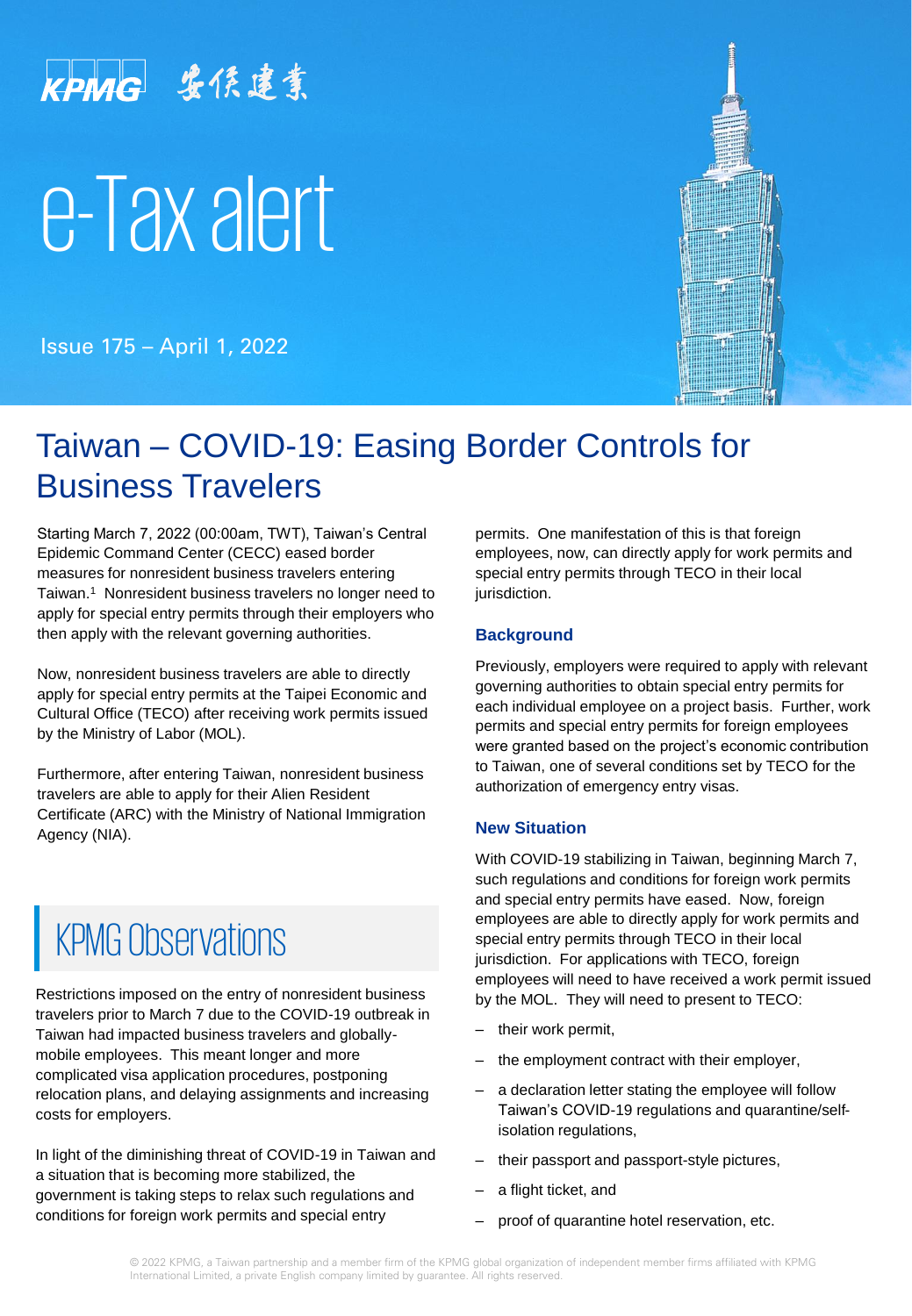# KPMG 盎係建業

# e-Tax alert

Issue 175 – April 1, 2022



# Taiwan – COVID-19: Easing Border Controls for Business Travelers

Starting March 7, 2022 (00:00am, TWT), Taiwan's Central Epidemic Command Center (CECC) eased border measures for nonresident business travelers entering Taiwan.<sup>1</sup> Nonresident business travelers no longer need to apply for special entry permits through their employers who then apply with the relevant governing authorities.

Now, nonresident business travelers are able to directly apply for special entry permits at the Taipei Economic and Cultural Office (TECO) after receiving work permits issued by the Ministry of Labor (MOL).

Furthermore, after entering Taiwan, nonresident business travelers are able to apply for their Alien Resident Certificate (ARC) with the Ministry of National Immigration Agency (NIA).

# **KPMG Observations**

Restrictions imposed on the entry of nonresident business travelers prior to March 7 due to the COVID-19 outbreak in Taiwan had impacted business travelers and globallymobile employees. This meant longer and more complicated visa application procedures, postponing relocation plans, and delaying assignments and increasing costs for employers.

In light of the diminishing threat of COVID-19 in Taiwan and a situation that is becoming more stabilized, the government is taking steps to relax such regulations and conditions for foreign work permits and special entry

permits. One manifestation of this is that foreign employees, now, can directly apply for work permits and special entry permits through TECO in their local jurisdiction.

#### **Background**

Previously, employers were required to apply with relevant governing authorities to obtain special entry permits for each individual employee on a project basis. Further, work permits and special entry permits for foreign employees were granted based on the project's economic contribution to Taiwan, one of several conditions set by TECO for the authorization of emergency entry visas.

#### **New Situation**

With COVID-19 stabilizing in Taiwan, beginning March 7, such regulations and conditions for foreign work permits and special entry permits have eased. Now, foreign employees are able to directly apply for work permits and special entry permits through TECO in their local jurisdiction. For applications with TECO, foreign employees will need to have received a work permit issued by the MOL. They will need to present to TECO:

- their work permit,
- the employment contract with their employer,
- a declaration letter stating the employee will follow Taiwan's COVID-19 regulations and quarantine/selfisolation regulations,
- their passport and passport-style pictures,
- a flight ticket, and
- proof of quarantine hotel reservation, etc.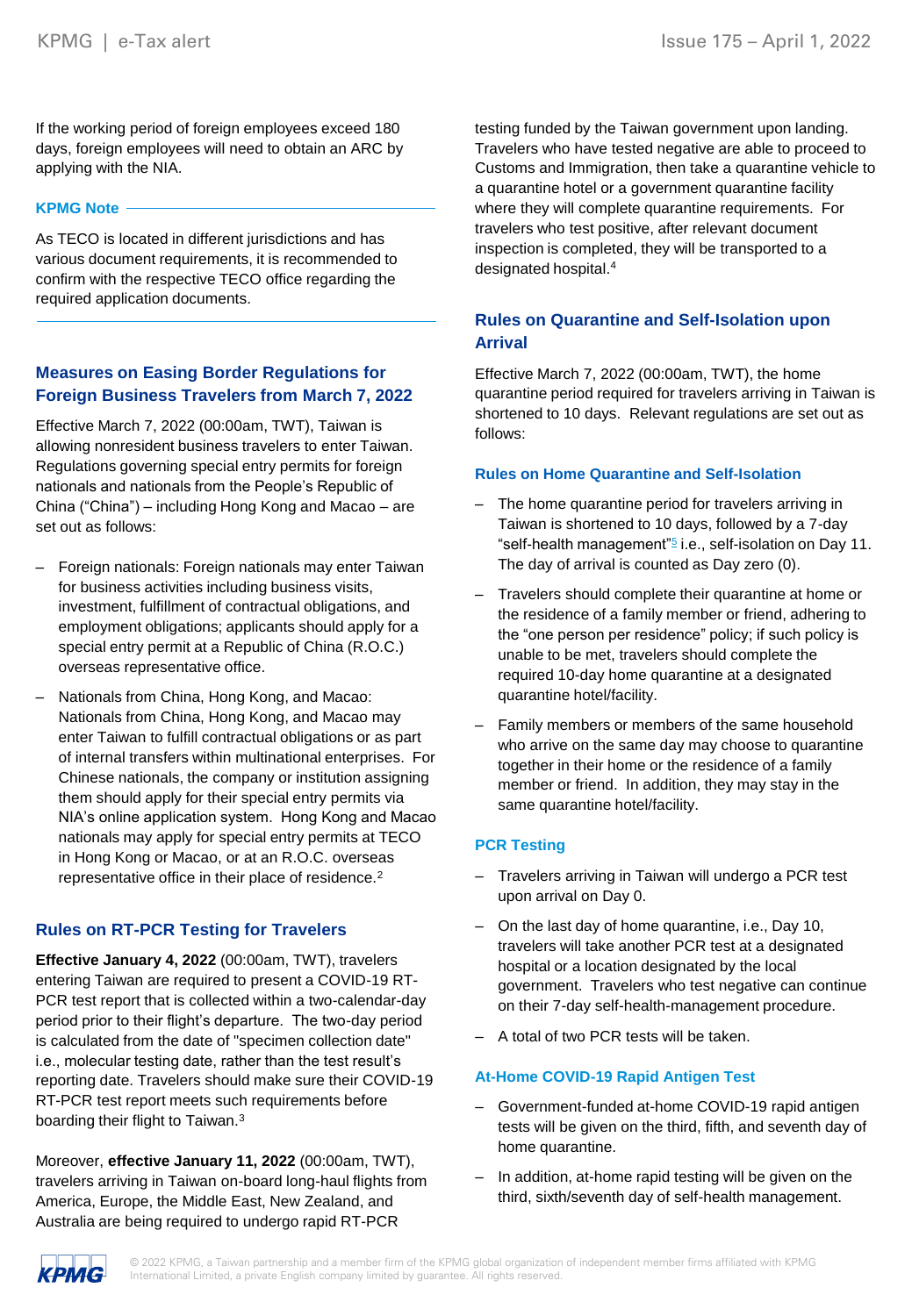If the working period of foreign employees exceed 180 days, foreign employees will need to obtain an ARC by applying with the NIA.

#### **KPMG Note**

As TECO is located in different jurisdictions and has various document requirements, it is recommended to confirm with the respective TECO office regarding the required application documents.

#### **Measures on Easing Border Regulations for Foreign Business Travelers from March 7, 2022**

Effective March 7, 2022 (00:00am, TWT), Taiwan is allowing nonresident business travelers to enter Taiwan. Regulations governing special entry permits for foreign nationals and nationals from the People's Republic of China ("China") – including Hong Kong and Macao – are set out as follows:

- Foreign nationals: Foreign nationals may enter Taiwan for business activities including business visits, investment, fulfillment of contractual obligations, and employment obligations; applicants should apply for a special entry permit at a Republic of China (R.O.C.) overseas representative office.
- Nationals from China, Hong Kong, and Macao: Nationals from China, Hong Kong, and Macao may enter Taiwan to fulfill contractual obligations or as part of internal transfers within multinational enterprises. For Chinese nationals, the company or institution assigning them should apply for their special entry permits via NIA's online application system. Hong Kong and Macao nationals may apply for special entry permits at TECO in Hong Kong or Macao, or at an R.O.C. overseas representative office in their place of residence.<sup>2</sup>

#### **Rules on RT-PCR Testing for Travelers**

**Effective January 4, 2022** (00:00am, TWT), travelers entering Taiwan are required to present a COVID-19 RT-PCR test report that is collected within a two-calendar-day period prior to their flight's departure. The two-day period is calculated from the date of "specimen collection date" i.e., molecular testing date, rather than the test result's reporting date. Travelers should make sure their COVID-19 RT-PCR test report meets such requirements before boarding their flight to Taiwan.<sup>3</sup>

Moreover, **effective January 11, 2022** (00:00am, TWT), travelers arriving in Taiwan on-board long-haul flights from America, Europe, the Middle East, New Zealand, and Australia are being required to undergo rapid RT-PCR

testing funded by the Taiwan government upon landing. Travelers who have tested negative are able to proceed to Customs and Immigration, then take a quarantine vehicle to a quarantine hotel or a government quarantine facility where they will complete quarantine requirements. For travelers who test positive, after relevant document inspection is completed, they will be transported to a designated hospital.<sup>4</sup>

#### **Rules on Quarantine and Self-Isolation upon Arrival**

Effective March 7, 2022 (00:00am, TWT), the home quarantine period required for travelers arriving in Taiwan is shortened to 10 days. Relevant regulations are set out as follows:

#### **Rules on Home Quarantine and Self-Isolation**

- The home quarantine period for travelers arriving in Taiwan is shortened to 10 days, followed by a 7-day "self-health management"<sup>[5](#page-2-0)</sup> i.e., self-isolation on Day 11. The day of arrival is counted as Day zero (0).
- Travelers should complete their quarantine at home or the residence of a family member or friend, adhering to the "one person per residence" policy; if such policy is unable to be met, travelers should complete the required 10-day home quarantine at a designated quarantine hotel/facility.
- Family members or members of the same household who arrive on the same day may choose to quarantine together in their home or the residence of a family member or friend. In addition, they may stay in the same quarantine hotel/facility.

#### **PCR Testing**

- Travelers arriving in Taiwan will undergo a PCR test upon arrival on Day 0.
- On the last day of home quarantine, i.e., Day 10, travelers will take another PCR test at a designated hospital or a location designated by the local government. Travelers who test negative can continue on their 7-day self-health-management procedure.
- A total of two PCR tests will be taken.

#### **At-Home COVID-19 Rapid Antigen Test**

- Government-funded at-home COVID-19 rapid antigen tests will be given on the third, fifth, and seventh day of home quarantine.
- In addition, at-home rapid testing will be given on the third, sixth/seventh day of self-health management.

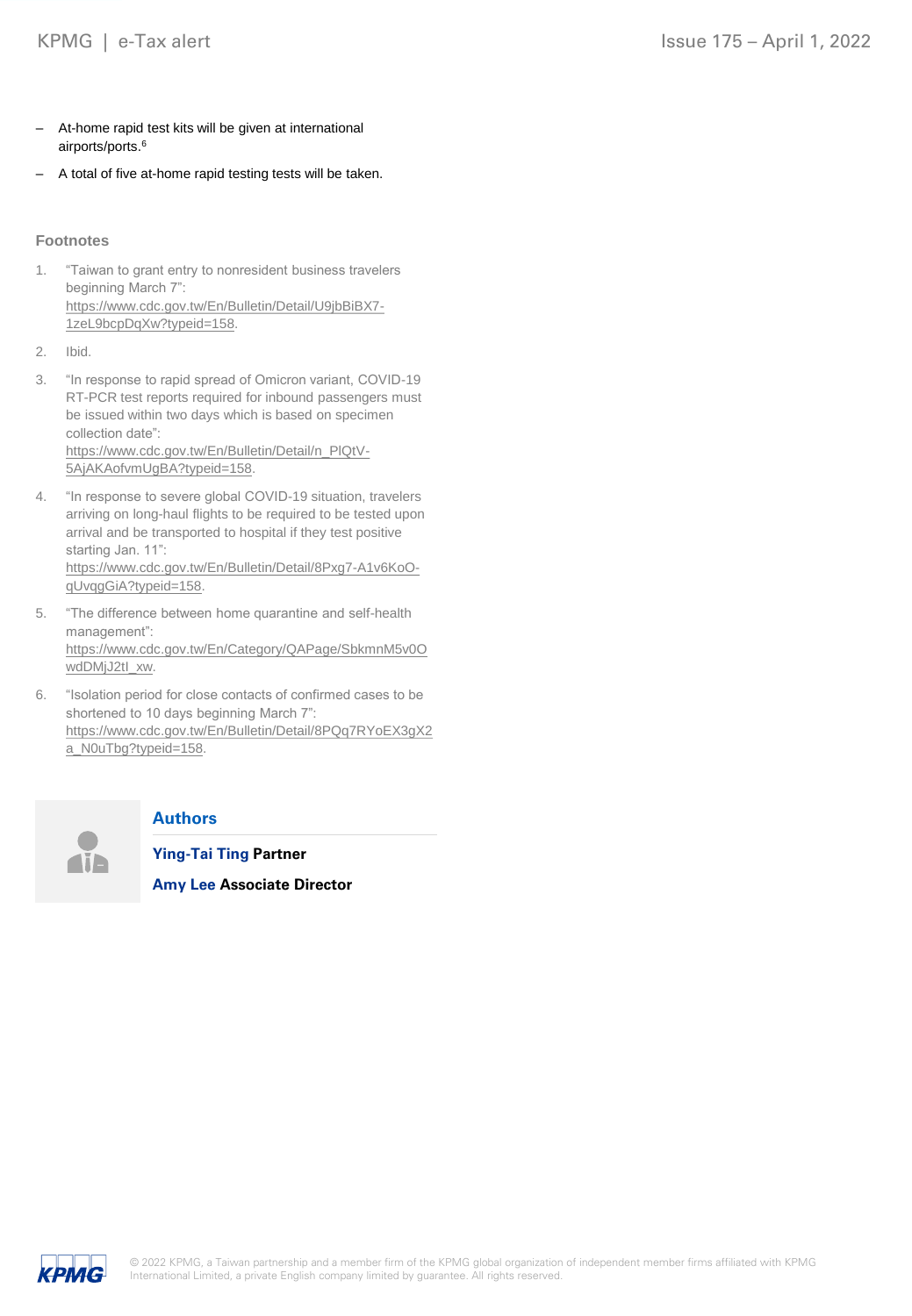- <span id="page-2-0"></span>– At-home rapid test kits will be given at international airports/ports.<sup>6</sup>
- A total of five at-home rapid testing tests will be taken.

#### **Footnotes**

- 1. "Taiwan to grant entry to nonresident business travelers beginning March 7": [https://www.cdc.gov.tw/En/Bulletin/Detail/U9jbBiBX7-](https://www.cdc.gov.tw/En/Bulletin/Detail/U9jbBiBX7-1zeL9bcpDqXw?typeid=158) 1zeL9bcpDqXw?typeid=158.
- 2. Ibid.
- 3. "In response to rapid spread of Omicron variant, COVID-19 RT-PCR test reports required for inbound passengers must be issued within two days which is based on specimen collection date": [https://www.cdc.gov.tw/En/Bulletin/Detail/n\\_PlQtV-](https://www.cdc.gov.tw/En/Bulletin/Detail/n_PlQtV-5AjAKAofvmUgBA?typeid=158)5AjAKAofvmUgBA?typeid=158.
- 4. "In response to severe global COVID-19 situation, travelers arriving on long-haul flights to be required to be tested upon arrival and be transported to hospital if they test positive starting Jan. 11": [https://www.cdc.gov.tw/En/Bulletin/Detail/8Pxg7-A1v6KoO](https://www.cdc.gov.tw/En/Bulletin/Detail/8Pxg7-A1v6KoO-qUvqgGiA?typeid=158)qUvqgGiA?typeid=158.
- 5. "The difference between home quarantine and self-health management": [https://www.cdc.gov.tw/En/Category/QAPage/SbkmnM5v0O](https://www.cdc.gov.tw/En/Category/QAPage/SbkmnM5v0OwdDMjJ2tI_xw) wdDMjJ2tI\_xw.
- 6. "Isolation period for close contacts of confirmed cases to be shortened to 10 days beginning March 7": [https://www.cdc.gov.tw/En/Bulletin/Detail/8PQq7RYoEX3gX2](https://www.cdc.gov.tw/En/Bulletin/Detail/8PQq7RYoEX3gX2a_N0uTbg?typeid=158) a\_N0uTbg?typeid=158.



#### **Authors**

**Ying-Tai Ting Partner**

**Amy Lee Associate Director**

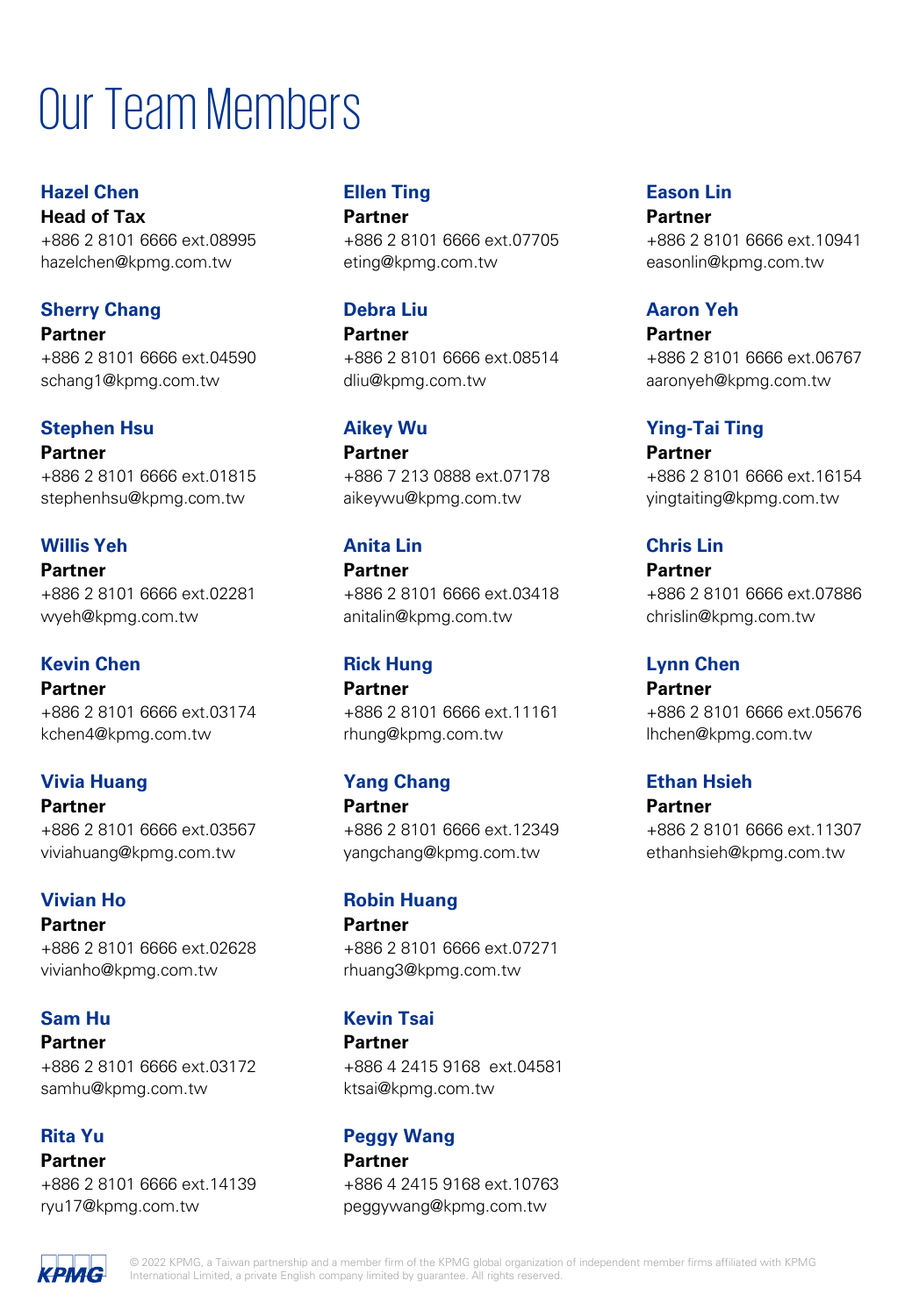# Our Team Members

**Hazel Chen Head of Tax** +886 2 8101 6666 ext.08995 hazelchen@kpmg.com.tw

# **Sherry Chang**

**Partner** +886 2 8101 6666 ext.04590 schang1@kpmg.com.tw

# **Stephen Hsu**

**Partner** +886 2 8101 6666 ext.01815 stephenhsu@kpmg.com.tw

# **Willis Yeh**

**Partner** +886 2 8101 6666 ext.02281 wyeh@kpmg.com.tw

# **Kevin Chen**

**Partner** +886 2 8101 6666 ext.03174 kchen4@kpmg.com.tw

# **Vivia Huang**

**Partner** +886 2 8101 6666 ext.03567 viviahuang@kpmg.com.tw

# **Vivian Ho**

**Partner** +886 2 8101 6666 ext.02628 vivianho@kpmg.com.tw

# **Sam Hu**

**Partner**

+886 2 8101 6666 ext.03172 samhu@kpmg.com.tw

# **Rita Yu**

**Partner** +886 2 8101 6666 ext.14139 ryu17@kpmg.com.tw

#### **Ellen Ting Partner**

+886 2 8101 6666 ext.07705 eting@kpmg.com.tw

#### **Debra Liu Partner**

+886 2 8101 6666 ext.08514 dliu@kpmg.com.tw

#### **Aikey Wu**

**Partner** +886 7 213 0888 ext.07178 aikeywu@kpmg.com.tw

# **Anita Lin**

**Partner** +886 2 8101 6666 ext.03418 anitalin@kpmg.com.tw

### **Rick Hung**

**Partner** +886 2 8101 6666 ext.11161 rhung@kpmg.com.tw

# **Yang Chang**

**Partner** +886 2 8101 6666 ext.12349 yangchang@kpmg.com.tw

#### **Robin Huang**

**Partner** +886 2 8101 6666 ext.07271 rhuang3@kpmg.com.tw

### **Kevin Tsai**

**Partner** +886 4 2415 9168 ext.04581 ktsai@kpmg.com.tw

# **Peggy Wang**

**Partner** +886 4 2415 9168 ext.10763 peggywang@kpmg.com.tw

#### **Eason Lin Partner**

+886 2 8101 6666 ext.10941 easonlin@kpmg.com.tw

# **Aaron Yeh**

**Partner** +886 2 8101 6666 ext.06767 aaronyeh@kpmg.com.tw

# **Ying-Tai Ting**

**Partner** +886 2 8101 6666 ext.16154 yingtaiting@kpmg.com.tw

# **Chris Lin**

**Partner** +886 2 8101 6666 ext.07886 chrislin@kpmg.com.tw

# **Lynn Chen**

**Partner** +886 2 8101 6666 ext.05676 lhchen@kpmg.com.tw

# **Ethan Hsieh**

**Partner**

+886 2 8101 6666 ext.11307 ethanhsieh@kpmg.com.tw